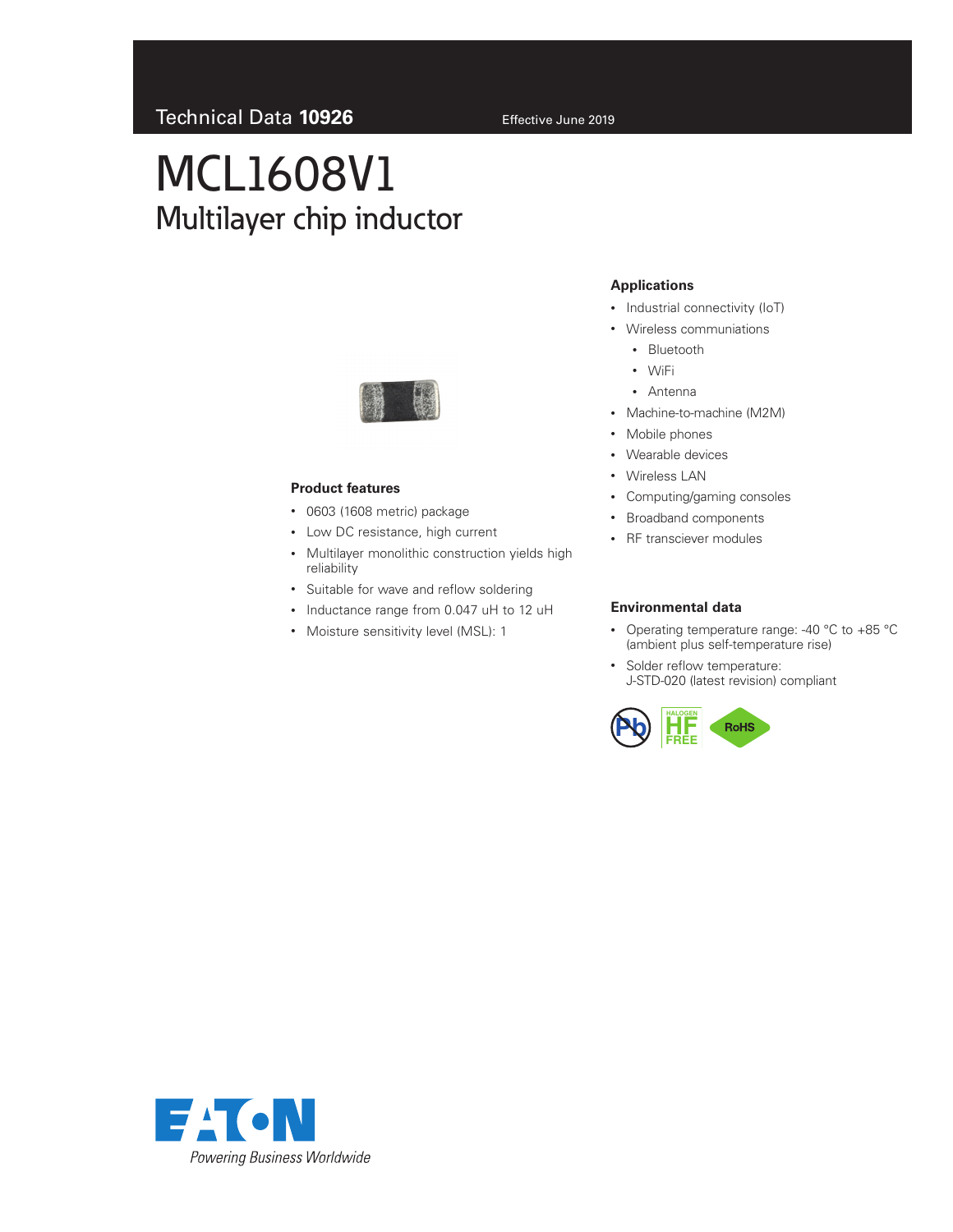# MCL1608V1 Multilayer chip inductor



### **Product features**

- 0603 (1608 metric) package
- Low DC resistance, high current
- Multilayer monolithic construction yields high reliability
- Suitable for wave and reflow soldering
- Inductance range from 0.047 uH to 12 uH
- Moisture sensitivity level (MSL): 1

## **Applications**

- Industrial connectivity (IoT)
- Wireless communiations
	- Bluetooth
	- WiFi
	- Antenna
- Machine-to-machine (M2M)
- Mobile phones
- Wearable devices
- Wireless LAN
- Computing/gaming consoles
- Broadband components
- RF transciever modules

#### **Environmental data**

- Operating temperature range: -40 °C to +85 °C (ambient plus self-temperature rise)
- Solder reflow temperature: J-STD-020 (latest revision) compliant



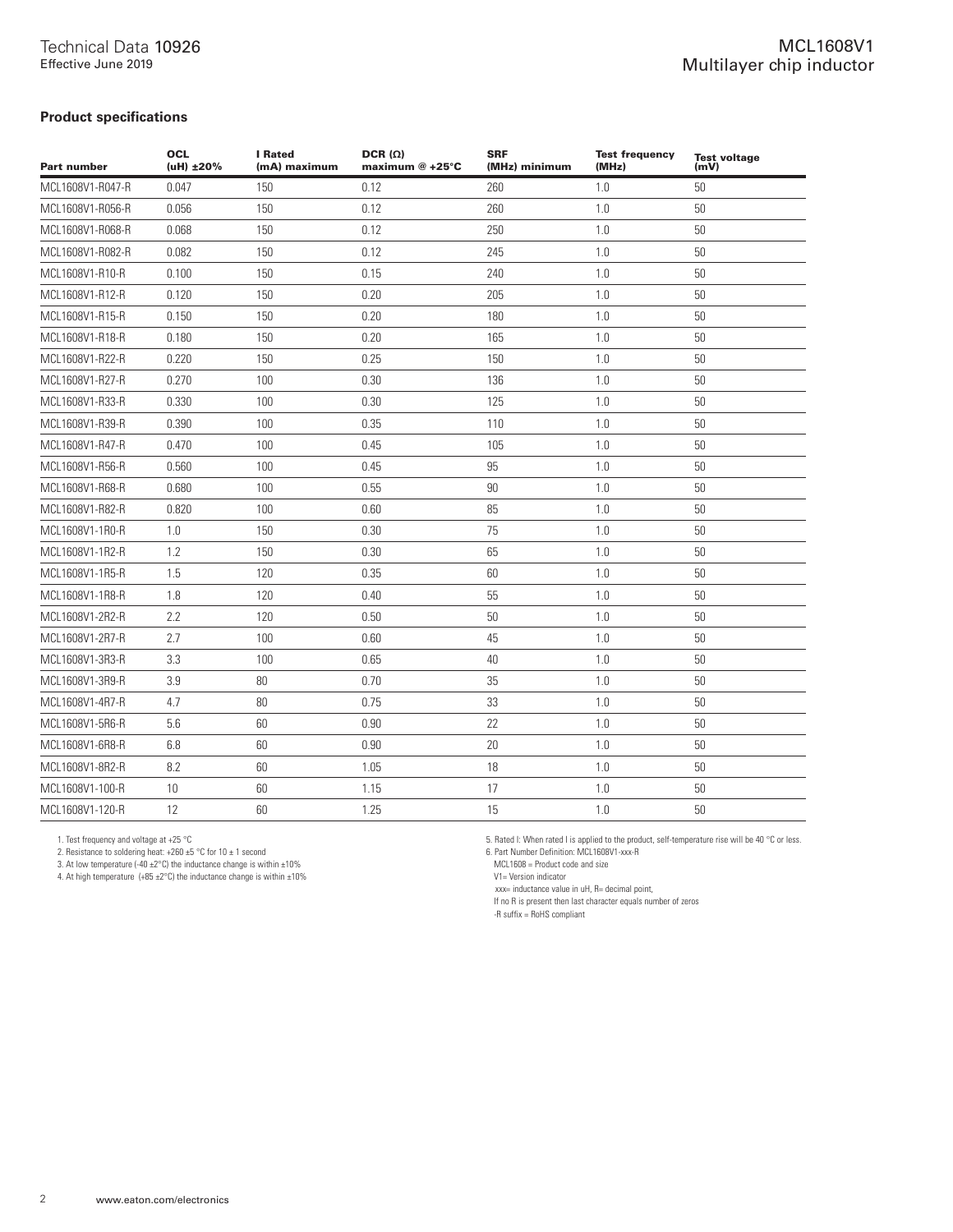## **Product specifications**

| <b>Part number</b> | <b>OCL</b><br>(uH) ±20% | <b>I</b> Rated<br>(mA) maximum | $DCR(\Omega)$<br>maximum @ +25°C | <b>SRF</b><br>(MHz) minimum | <b>Test frequency</b><br>(MHz) | Test voltage<br>(mV) |
|--------------------|-------------------------|--------------------------------|----------------------------------|-----------------------------|--------------------------------|----------------------|
| MCL1608V1-R047-R   | 0.047                   | 150                            | 0.12                             | 260                         | 1.0                            | 50                   |
| MCL1608V1-R056-R   | 0.056                   | 150                            | 0.12                             | 260                         | 1.0                            | 50                   |
| MCL1608V1-R068-R   | 0.068                   | 150                            | 0.12                             | 250                         | 1.0                            | 50                   |
| MCL1608V1-R082-R   | 0.082                   | 150                            | 0.12                             | 245                         | 1.0                            | 50                   |
| MCL1608V1-R10-R    | 0.100                   | 150                            | 0.15                             | 240                         | 1.0                            | 50                   |
| MCL1608V1-R12-R    | 0.120                   | 150                            | 0.20                             | 205                         | 1.0                            | 50                   |
| MCL1608V1-R15-R    | 0.150                   | 150                            | 0.20                             | 180                         | $1.0\,$                        | 50                   |
| MCL1608V1-R18-R    | 0.180                   | 150                            | 0.20                             | 165                         | 1.0                            | 50                   |
| MCL1608V1-R22-R    | 0.220                   | 150                            | 0.25                             | 150                         | 1.0                            | 50                   |
| MCL1608V1-R27-R    | 0.270                   | 100                            | 0.30                             | 136                         | 1.0                            | 50                   |
| MCL1608V1-R33-R    | 0.330                   | 100                            | 0.30                             | 125                         | 1.0                            | 50                   |
| MCL1608V1-R39-R    | 0.390                   | 100                            | 0.35                             | 110                         | 1.0                            | 50                   |
| MCL1608V1-R47-R    | 0.470                   | 100                            | 0.45                             | 105                         | 1.0                            | 50                   |
| MCL1608V1-R56-R    | 0.560                   | 100                            | 0.45                             | 95                          | 1.0                            | 50                   |
| MCL1608V1-R68-R    | 0.680                   | 100                            | 0.55                             | 90                          | 1.0                            | 50                   |
| MCL1608V1-R82-R    | 0.820                   | 100                            | 0.60                             | 85                          | 1.0                            | 50                   |
| MCL1608V1-1R0-R    | 1.0                     | 150                            | 0.30                             | 75                          | $1.0\,$                        | $50\,$               |
| MCL1608V1-1R2-R    | 1.2                     | 150                            | 0.30                             | 65                          | 1.0                            | 50                   |
| MCL1608V1-1R5-R    | 1.5                     | 120                            | 0.35                             | 60                          | 1.0                            | 50                   |
| MCL1608V1-1R8-R    | 1.8                     | 120                            | 0.40                             | 55                          | 1.0                            | 50                   |
| MCL1608V1-2R2-R    | 2.2                     | 120                            | 0.50                             | 50                          | 1.0                            | 50                   |
| MCL1608V1-2R7-R    | 2.7                     | 100                            | 0.60                             | 45                          | 1.0                            | 50                   |
| MCL1608V1-3R3-R    | 3.3                     | 100                            | 0.65                             | 40                          | 1.0                            | 50                   |
| MCL1608V1-3R9-R    | 3.9                     | 80                             | 0.70                             | 35                          | 1.0                            | 50                   |
| MCL1608V1-4R7-R    | 4.7                     | 80                             | 0.75                             | 33                          | 1.0                            | 50                   |
| MCL1608V1-5R6-R    | 5.6                     | 60                             | 0.90                             | 22                          | 1.0                            | 50                   |
| MCL1608V1-6R8-R    | 6.8                     | 60                             | 0.90                             | 20                          | 1.0                            | 50                   |
| MCL1608V1-8R2-R    | 8.2                     | 60                             | 1.05                             | 18                          | 1.0                            | 50                   |
| MCL1608V1-100-R    | 10 <sup>°</sup>         | 60                             | 1.15                             | 17                          | 1.0                            | 50                   |
| MCL1608V1-120-R    | 12                      | 60                             | 1.25                             | 15                          | 1.0                            | 50                   |

1. Test frequency and voltage at +25 °C

2. Resistance to soldering heat:  $+260 \pm 5$  °C for 10  $\pm$  1 second

3. At low temperature (-40  $\pm$ 2°C) the inductance change is within  $\pm$ 10%

4. At high temperature  $(+85 \pm 2^{\circ}C)$  the inductance change is within  $\pm 10\%$ 

5. Rated I: When rated I is applied to the product, self-temperature rise will be 40 °C or less. 6. Part Number Definition: MCL1608V1-xxx-R

MCL1608 = Product code and size

V1= Version indicator

xxx= inductance value in uH, R= decimal point,

If no R is present then last character equals number of zeros

-R suffix = RoHS compliant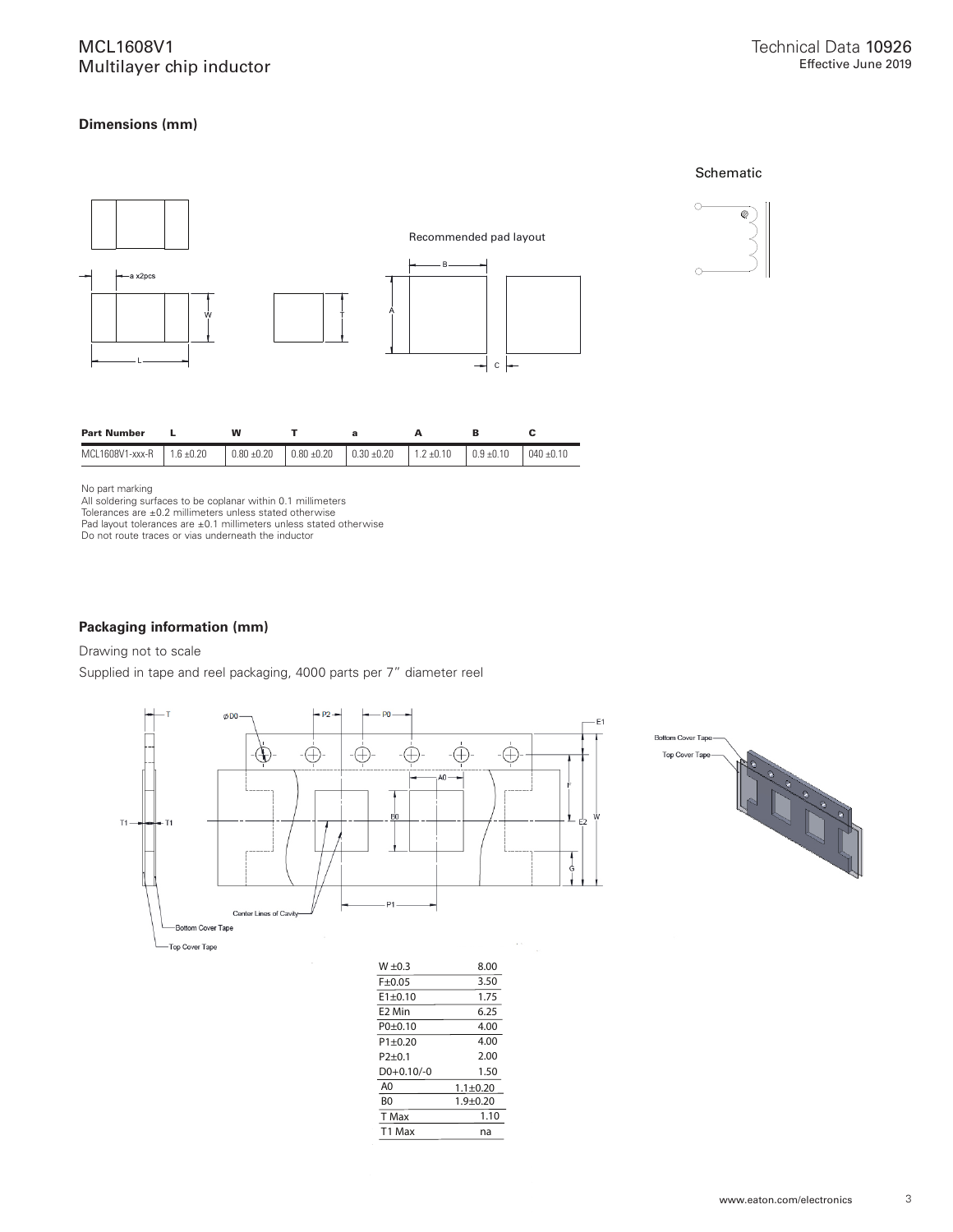## MCL1608V1 Multilayer chip inductor

## **Dimensions (mm)**





| <b>Part Number</b> |             | w               |                 | a               |                | в              |                |
|--------------------|-------------|-----------------|-----------------|-----------------|----------------|----------------|----------------|
| MCL1608V1-xxx-R    | i 1.6 ±0.20 | $0.80 \pm 0.20$ | $0.80 \pm 0.20$ | $0.30 \pm 0.20$ | $1.2 \pm 0.10$ | $0.9 \pm 0.10$ | $040 \pm 0.10$ |

No part marking

All soldering surfaces to be coplanar within 0.1 millimeters

Tolerances are ±0.2 millimeters unless stated otherwise Pad layout tolerances are ±0.1 millimeters unless stated otherwise Do not route traces or vias underneath the inductor

#### **Packaging information (mm)**

Drawing not to scale

Supplied in tape and reel packaging, 4000 parts per 7" diameter reel





| $F + 0.05$     | 3.50           |
|----------------|----------------|
| $E1 + 0.10$    | 1.75           |
| E2 Min         | 6.25           |
| $P0+0.10$      | 4.00           |
| $P1 + 0.20$    | 4.00           |
| $P$ 2+0.1      | 2.00           |
| $D0+0.10/-0$   | 1.50           |
| A <sub>0</sub> | $1.1 \pm 0.20$ |
| B <sub>0</sub> | $1.9 + 0.20$   |
| T Max          | 1.10           |
| T1 Max         | na             |
|                |                |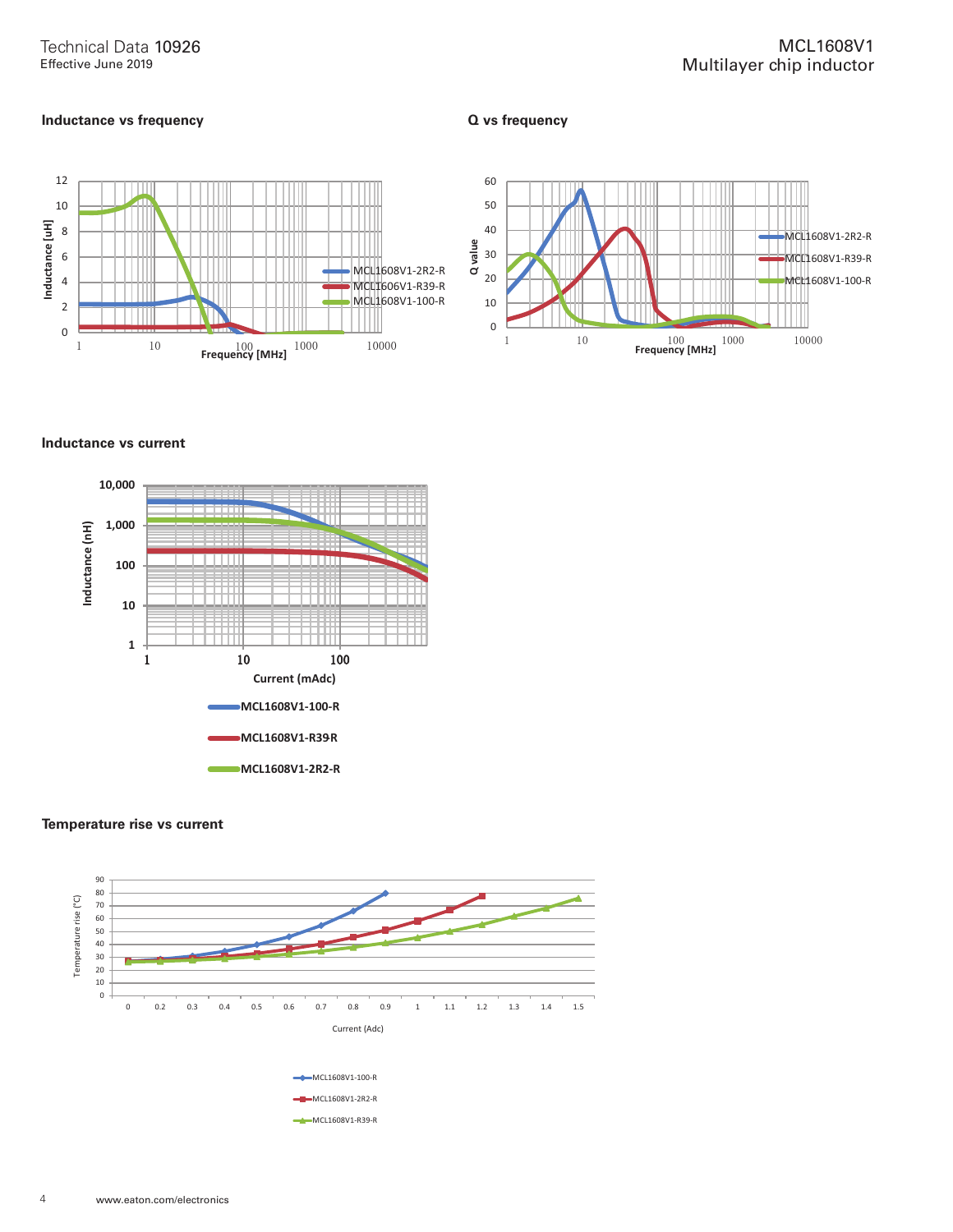## **Inductance vs frequency**

**Q vs frequency**





#### **Inductance vs current**



#### **Temperature rise vs current**

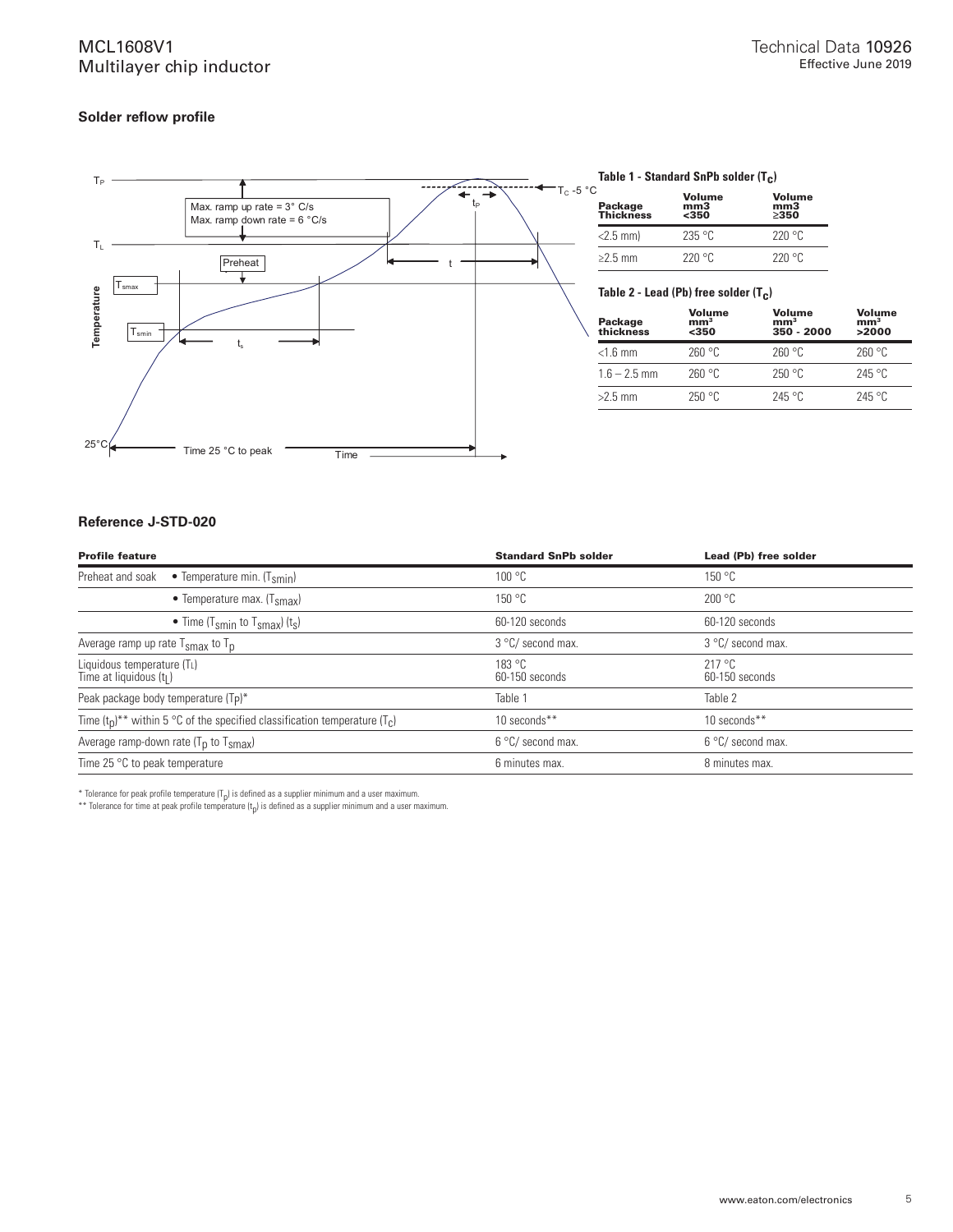# MCL1608V1 Multilayer chip inductor

## **Solder reflow profile**



#### Table 1 - Standard SnPb solder (T<sub>C</sub>)

| С<br>Package<br>Thickness | Volume<br>mm <sub>3</sub><br>$350$ | Volume<br>mm3<br>>350 |
|---------------------------|------------------------------------|-----------------------|
| $<$ 2.5 mm $\vert$        | 235 °C                             | 220°C                 |
| $\geq$ 2.5 mm             | 220 °C                             | 220°C                 |

## Table 2 - Lead (Pb) free solder (T<sub>C</sub>)

| Package<br>thickness | Volume<br>mm <sup>3</sup><br>$350$ | Volume<br>mm <sup>3</sup><br>350 - 2000 | Volume<br>mm <sup>3</sup><br>>2000 |
|----------------------|------------------------------------|-----------------------------------------|------------------------------------|
| $<$ 1.6 mm           | 260 °C                             | 260 °C                                  | 260 °C                             |
| $1.6 - 2.5$ mm       | 260 °C                             | 250 °C                                  | 245 °C                             |
| $>2.5$ mm            | 250 °C                             | 245°C                                   | 245°C                              |

### **Reference J-STD-020**

| <b>Profile feature</b>                                                            | <b>Standard SnPb solder</b> | Lead (Pb) free solder    |  |
|-----------------------------------------------------------------------------------|-----------------------------|--------------------------|--|
| Preheat and soak<br>• Temperature min. $(T_{smin})$                               | 100 °C                      | 150 °C                   |  |
| • Temperature max. $(Tsmax)$                                                      | 150 °C                      | 200 °C                   |  |
| • Time (T <sub>smin</sub> to T <sub>smax</sub> ) (t <sub>s</sub> )                | 60-120 seconds              | 60-120 seconds           |  |
| Average ramp up rate $T_{\rm smax}$ to $T_{\rm p}$                                | 3 °C/ second max.           | 3 °C/ second max.        |  |
| Liquidous temperature $(T_L)$<br>Time at liquidous $(t1)$                         | 183 °C<br>60-150 seconds    | 217 °C<br>60-150 seconds |  |
| Peak package body temperature (Tp)*                                               | Table 1                     | Table 2                  |  |
| Time $(t_0)^{**}$ within 5 °C of the specified classification temperature $(T_c)$ | 10 seconds**                | 10 seconds**             |  |
| Average ramp-down rate $(T_p$ to $T_{smax}$ )                                     | 6 °C/ second max.           | 6 °C/ second max.        |  |
| Time 25 $\degree$ C to peak temperature                                           | 6 minutes max.              | 8 minutes max.           |  |

 $^*$  Tolerance for peak profile temperature (T<sub>p</sub>) is defined as a supplier minimum and a user maximum.

 $^{**}$  Tolerance for time at peak profile temperature (t<sub>p</sub>) is defined as a supplier minimum and a user maximum.